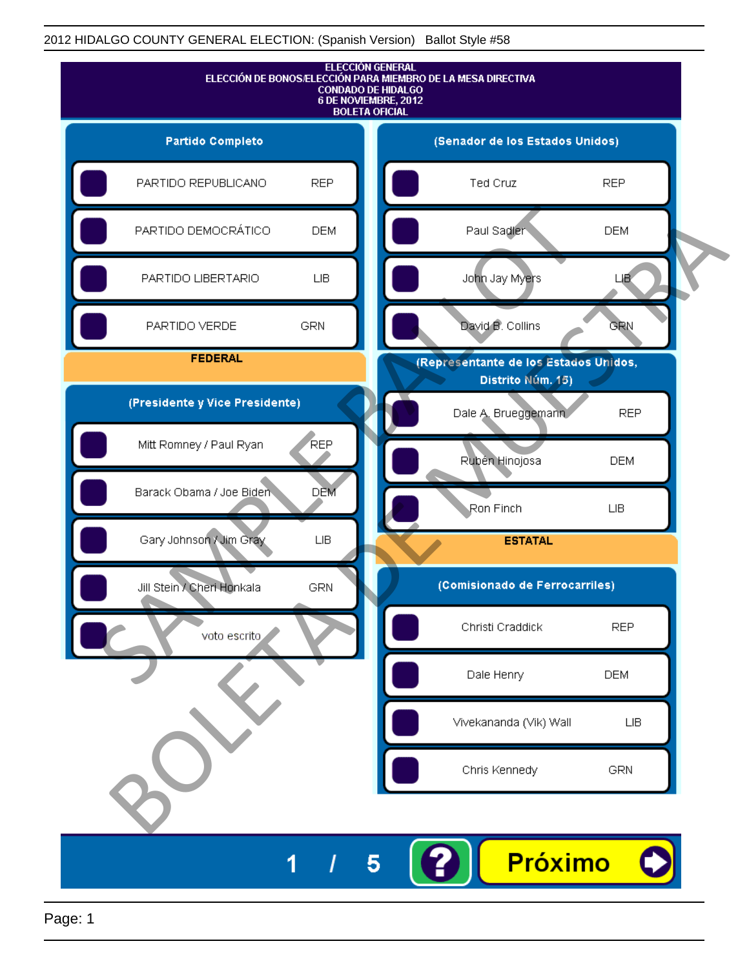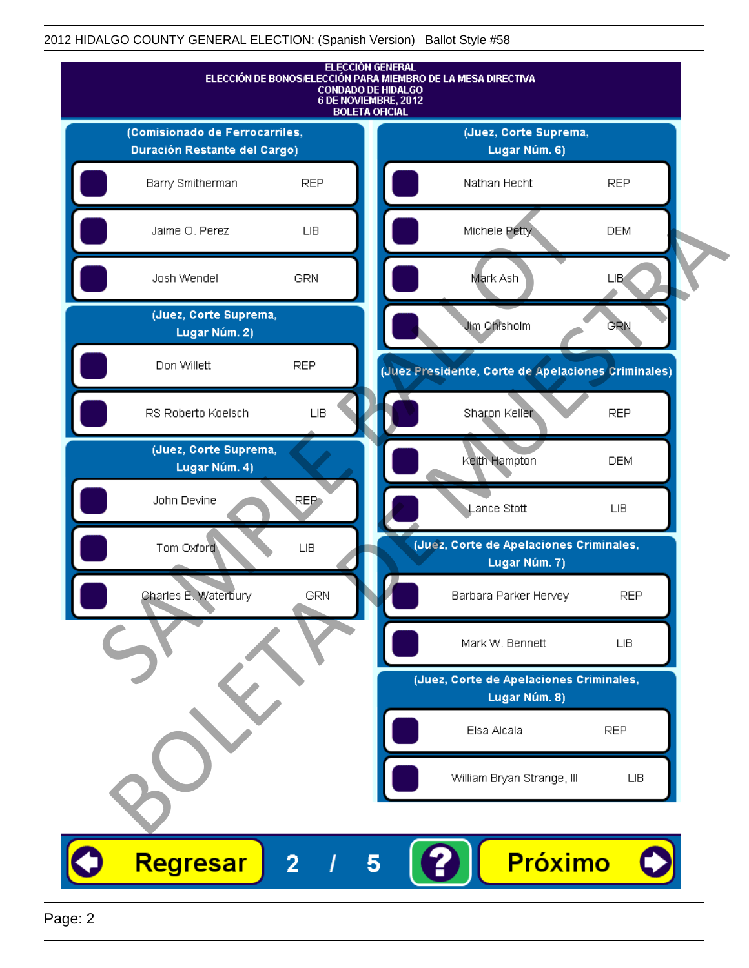

Page: 2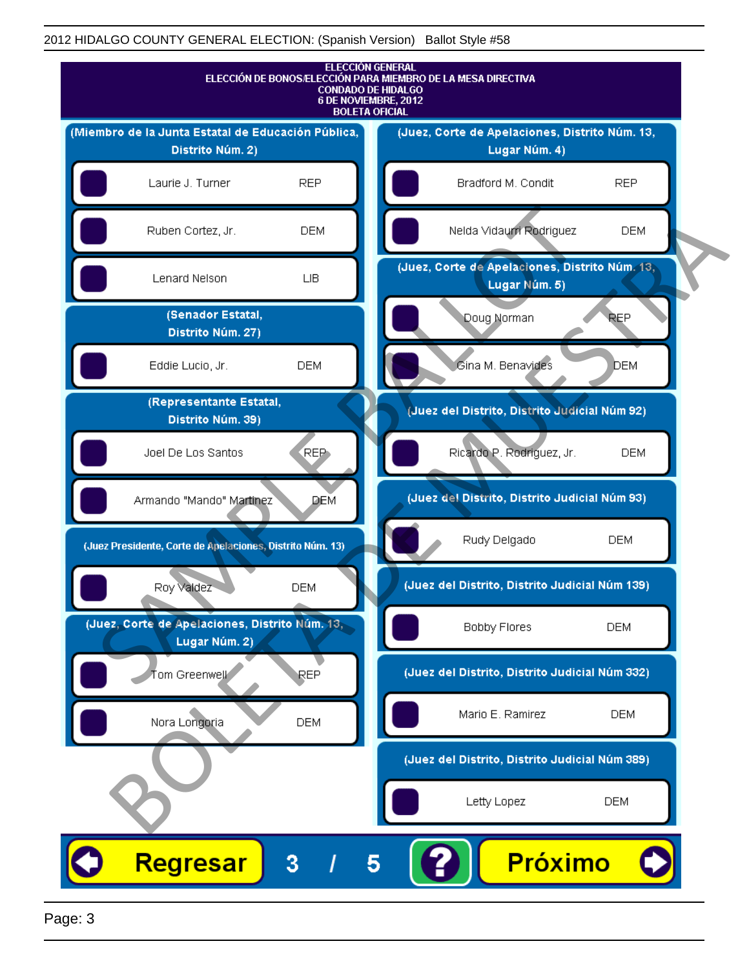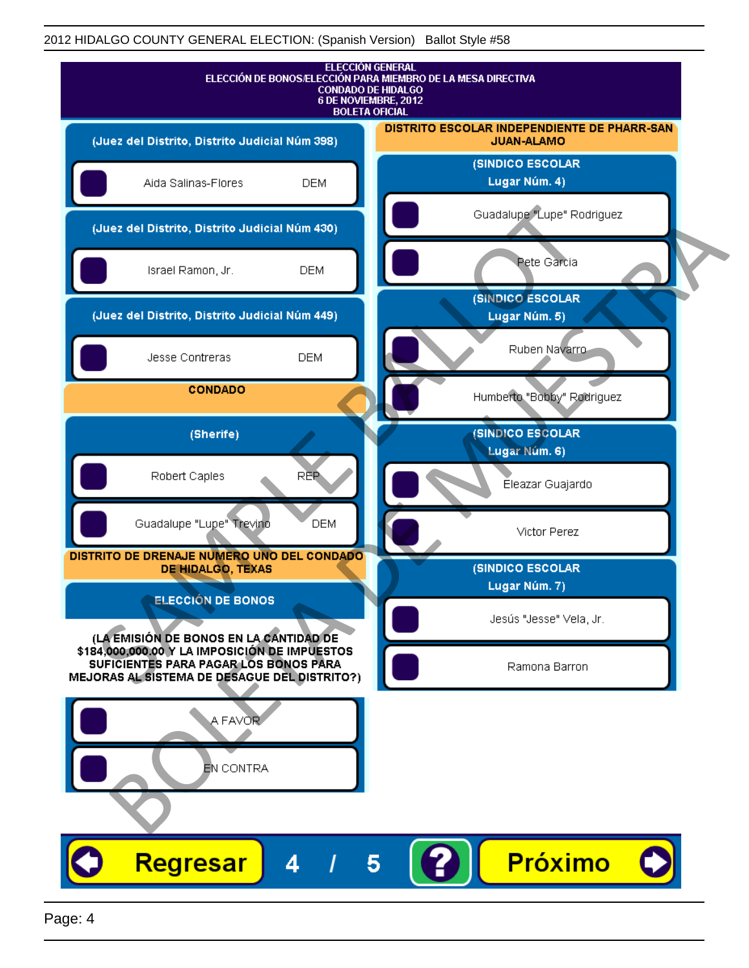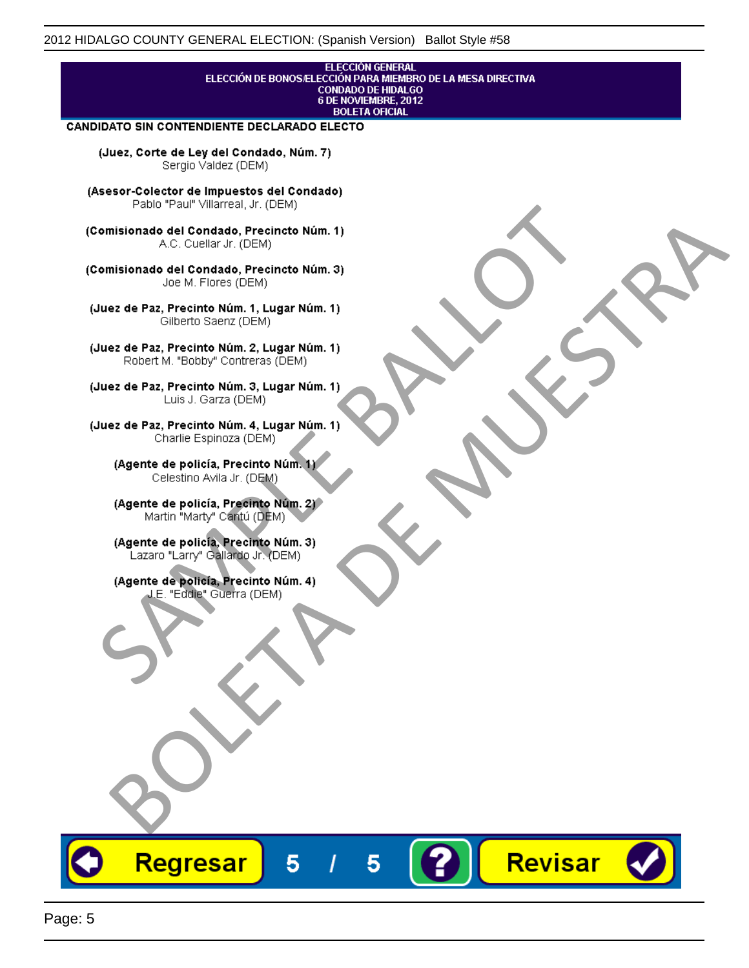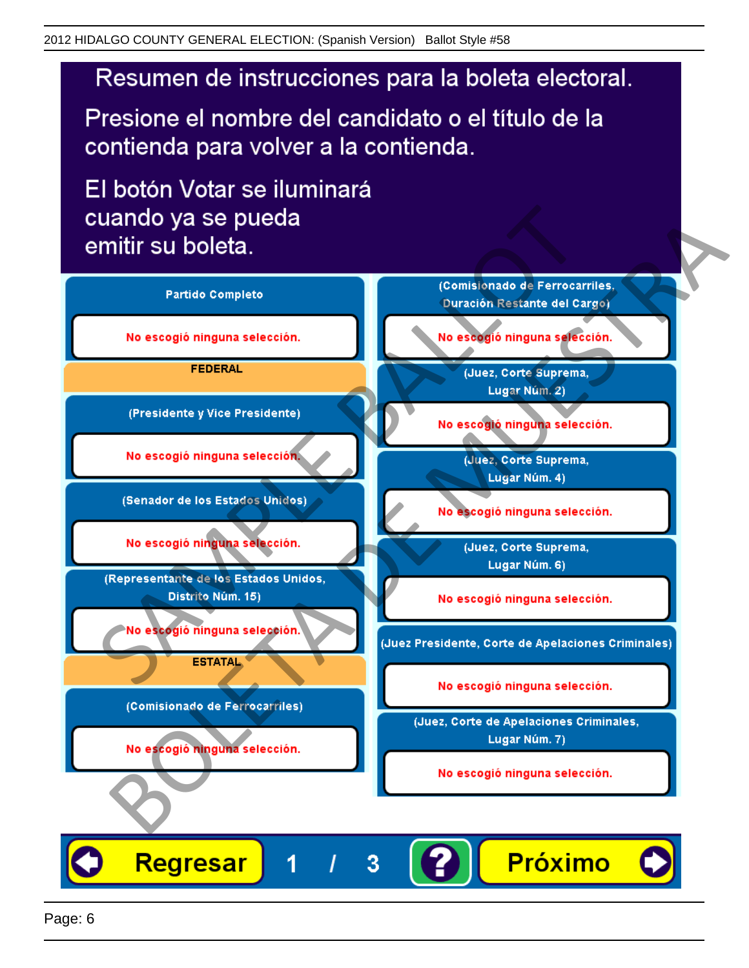# Resumen de instrucciones para la boleta electoral.

Presione el nombre del candidato o el título de la contienda para volver a la contienda.

El botón Votar se iluminará

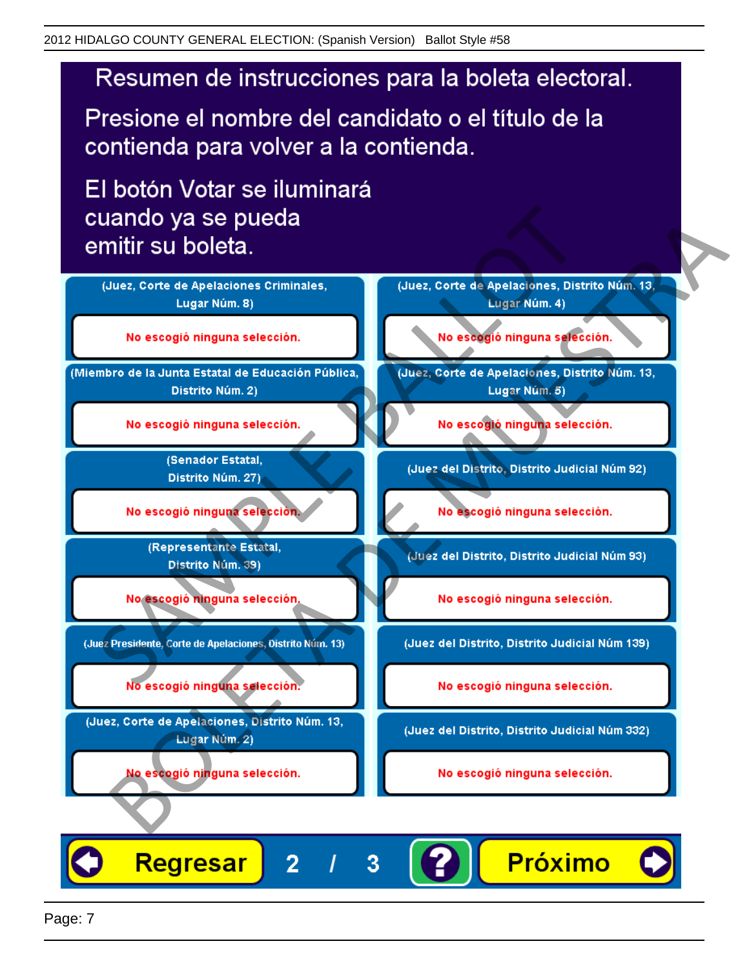# Resumen de instrucciones para la boleta electoral.

Presione el nombre del candidato o el título de la contienda para volver a la contienda.

El botón Votar se iluminará